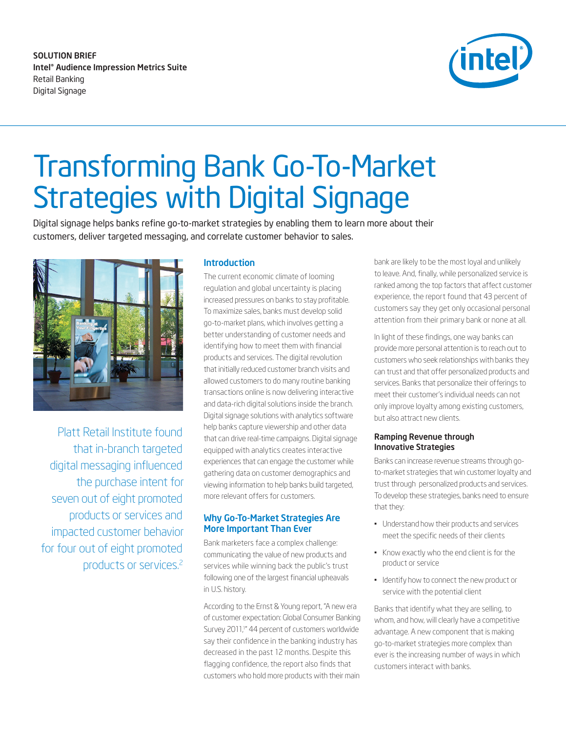SOLUTION BRIEF Intel® Audience Impression Metrics Suite Retail Banking Digital Signage



# Transforming Bank Go-To-Market Strategies with Digital Signage

Digital signage helps banks refine go-to-market strategies by enabling them to learn more about their customers, deliver targeted messaging, and correlate customer behavior to sales.



Platt Retail Institute found that in-branch targeted digital messaging influenced the purchase intent for seven out of eight promoted products or services and impacted customer behavior for four out of eight promoted products or services.[2](#page-2-1)

#### Introduction

The current economic climate of looming regulation and global uncertainty is placing increased pressures on banks to stay profitable. To maximize sales, banks must develop solid go-to-market plans, which involves getting a better understanding of customer needs and identifying how to meet them with financial products and services. The digital revolution that initially reduced customer branch visits and allowed customers to do many routine banking transactions online is now delivering interactive and data-rich digital solutions inside the branch. Digital signage solutions with analytics software help banks capture viewership and other data that can drive real-time campaigns. Digital signage equipped with analytics creates interactive experiences that can engage the customer while gathering data on customer demographics and viewing information to help banks build targeted, more relevant offers for customers.

# Why Go-To-Market Strategies Are More Important Than Ever

Bank marketers face a complex challenge: communicating the value of new products and services while winning back the public's trust following one of the largest financial upheavals in U.S. history.

According to the Ernst & Young report, "A new era of customer expectation: Global Consumer Banking Survey 2011,<sup>1</sup> 44 percent of customers worldwide say their confidence in the banking industry has decreased in the past 12 months. Despite this flagging confidence, the report also finds that customers who hold more products with their main

bank are likely to be the most loyal and unlikely to leave. And, finally, while personalized service is ranked among the top factors that affect customer experience, the report found that 43 percent of customers say they get only occasional personal attention from their primary bank or none at all.

In light of these findings, one way banks can provide more personal attention is to reach out to customers who seek relationships with banks they can trust and that offer personalized products and services. Banks that personalize their offerings to meet their customer's individual needs can not only improve loyalty among existing customers, but also attract new clients.

#### Ramping Revenue through Innovative Strategies

Banks can increase revenue streams through goto-market strategies that win customer loyalty and trust through personalized products and services. To develop these strategies, banks need to ensure that they:

- Understand how their products and services meet the specific needs of their clients
- Know exactly who the end client is for the product or service
- Identify how to connect the new product or service with the potential client

Banks that identify what they are selling, to whom, and how, will clearly have a competitive advantage. A new component that is making go-to-market strategies more complex than ever is the increasing number of ways in which customers interact with banks.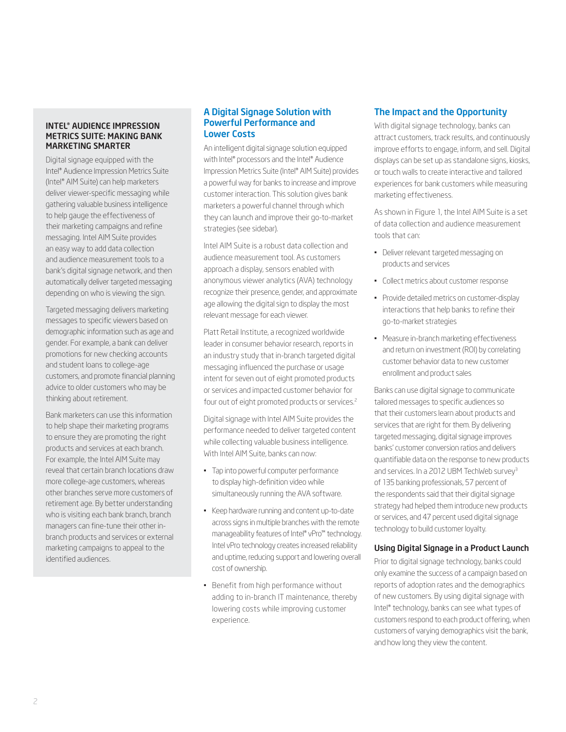#### INTEL® AUDIENCE IMPRESSION METRICS SUITE: MAKING BANK MARKETING SMARTER

Digital signage equipped with the Intel® Audience Impression Metrics Suite (Intel® AIM Suite) can help marketers deliver viewer-specific messaging while gathering valuable business intelligence to help gauge the effectiveness of their marketing campaigns and refine messaging. Intel AIM Suite provides an easy way to add data collection and audience measurement tools to a bank's digital signage network, and then automatically deliver targeted messaging depending on who is viewing the sign.

Targeted messaging delivers marketing messages to specific viewers based on demographic information such as age and gender. For example, a bank can deliver promotions for new checking accounts and student loans to college-age customers, and promote financial planning advice to older customers who may be thinking about retirement.

Bank marketers can use this information to help shape their marketing programs to ensure they are promoting the right products and services at each branch. For example, the Intel AIM Suite may reveal that certain branch locations draw more college-age customers, whereas other branches serve more customers of retirement age. By better understanding who is visiting each bank branch, branch managers can fine-tune their other inbranch products and services or external marketing campaigns to appeal to the identified audiences.

#### A Digital Signage Solution with Powerful Performance and Lower Costs

An intelligent digital signage solution equipped with Intel® processors and the Intel® Audience Impression Metrics Suite (Intel® AIM Suite) provides a powerful way for banks to increase and improve customer interaction. This solution gives bank marketers a powerful channel through which they can launch and improve their go-to-market strategies (see sidebar).

Intel AIM Suite is a robust data collection and audience measurement tool. As customers approach a display, sensors enabled with anonymous viewer analytics (AVA) technology recognize their presence, gender, and approximate age allowing the digital sign to display the most relevant message for each viewer.

Platt Retail Institute, a recognized worldwide leader in consumer behavior research, reports in an industry study that in-branch targeted digital messaging influenced the purchase or usage intent for seven out of eight promoted products or services and impacted customer behavior for four out of eight promoted products or services.[2](#page-2-1)

Digital signage with Intel AIM Suite provides the performance needed to deliver targeted content while collecting valuable business intelligence. With Intel AIM Suite, banks can now:

- Tap into powerful computer performance to display high-definition video while simultaneously running the AVA software.
- Keep hardware running and content up-to-date across signs in multiple branches with the remote manageability features of Intel® vPro™ technology. Intel vPro technology creates increased reliability and uptime, reducing support and lowering overall cost of ownership.
- Benefit from high performance without adding to in-branch IT maintenance, thereby lowering costs while improving customer experience.

# The Impact and the Opportunity

With digital signage technology, banks can attract customers, track results, and continuously improve efforts to engage, inform, and sell. Digital displays can be set up as standalone signs, kiosks, or touch walls to create interactive and tailored experiences for bank customers while measuring marketing effectiveness.

As shown in Figure 1, the Intel AIM Suite is a set of data collection and audience measurement tools that can:

- Deliver relevant targeted messaging on products and services
- Collect metrics about customer response
- Provide detailed metrics on customer-display interactions that help banks to refine their go-to-market strategies
- Measure in-branch marketing effectiveness and return on investment (ROI) by correlating customer behavior data to new customer enrollment and product sales

Banks can use digital signage to communicate tailored messages to specific audiences so that their customers learn about products and services that are right for them. By delivering targeted messaging, digital signage improves banks' customer conversion ratios and delivers quantifiable data on the response to new products and services. In a 2012 UBM TechWeb survey<sup>[3](#page-2-2)</sup> of 135 banking professionals, 57 percent of the respondents said that their digital signage strategy had helped them introduce new products or services, and 47 percent used digital signage technology to build customer loyalty.

### Using Digital Signage in a Product Launch

Prior to digital signage technology, banks could only examine the success of a campaign based on reports of adoption rates and the demographics of new customers. By using digital signage with Intel® technology, banks can see what types of customers respond to each product offering, when customers of varying demographics visit the bank, and how long they view the content.